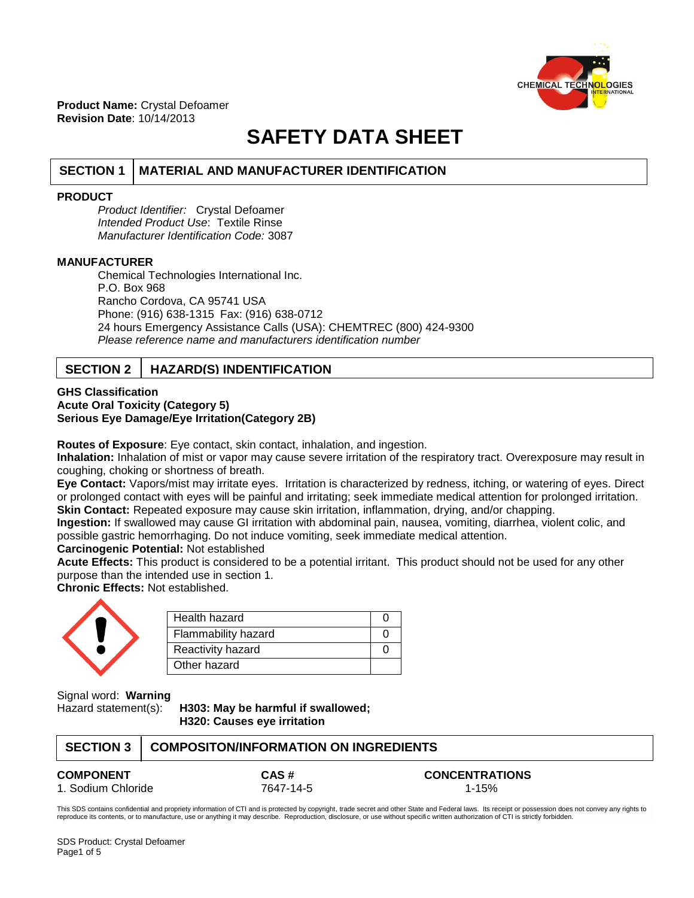

**Product Name:** Crystal Defoamer **Revision Date**: 10/14/2013

# **SAFETY DATA SHEET**

# **SECTION 1 MATERIAL AND MANUFACTURER IDENTIFICATION**

## **PRODUCT**

*Product Identifier:* Crystal Defoamer *Intended Product Use*: Textile Rinse *Manufacturer Identification Code:* 3087

### **MANUFACTURER**

Chemical Technologies International Inc. P.O. Box 968 Rancho Cordova, CA 95741 USA Phone: (916) 638-1315 Fax: (916) 638-0712 24 hours Emergency Assistance Calls (USA): CHEMTREC (800) 424-9300 *Please reference name and manufacturers identification number*

# **SECTION 2 HAZARD(S) INDENTIFICATION**

### **GHS Classification Acute Oral Toxicity (Category 5) Serious Eye Damage/Eye Irritation(Category 2B)**

**Routes of Exposure**: Eye contact, skin contact, inhalation, and ingestion.

**Inhalation:** Inhalation of mist or vapor may cause severe irritation of the respiratory tract. Overexposure may result in coughing, choking or shortness of breath.

**Eye Contact:** Vapors/mist may irritate eyes. Irritation is characterized by redness, itching, or watering of eyes. Direct or prolonged contact with eyes will be painful and irritating; seek immediate medical attention for prolonged irritation. **Skin Contact:** Repeated exposure may cause skin irritation, inflammation, drying, and/or chapping.

**Ingestion:** If swallowed may cause GI irritation with abdominal pain, nausea, vomiting, diarrhea, violent colic, and possible gastric hemorrhaging. Do not induce vomiting, seek immediate medical attention.

#### **Carcinogenic Potential:** Not established

**Acute Effects:** This product is considered to be a potential irritant. This product should not be used for any other purpose than the intended use in section 1.

**Chronic Effects:** Not established.

| e |  |
|---|--|
|   |  |

| Health hazard              |  |
|----------------------------|--|
| <b>Flammability hazard</b> |  |
| Reactivity hazard          |  |
| Other hazard               |  |

Signal word: **Warning**

Hazard statement(s): **H303: May be harmful if swallowed; H320: Causes eye irritation**

| SECTION 3   COMPOSITON/INFORMATION ON INGREDIENTS |
|---------------------------------------------------|
|                                                   |

**COMPONENT CAS # CONCENTRATIONS** 1. Sodium Chloride 1992 12047-14-5

This SDS contains confidential and propriety information of CTI and is protected by copyright, trade secret and other State and Federal laws. Its receipt or possession does not convey any rights to reproduce its contents, or to manufacture, use or anything it may describe. Reproduction, disclosure, or use without specific written authorization of CTI is strictly forbidden.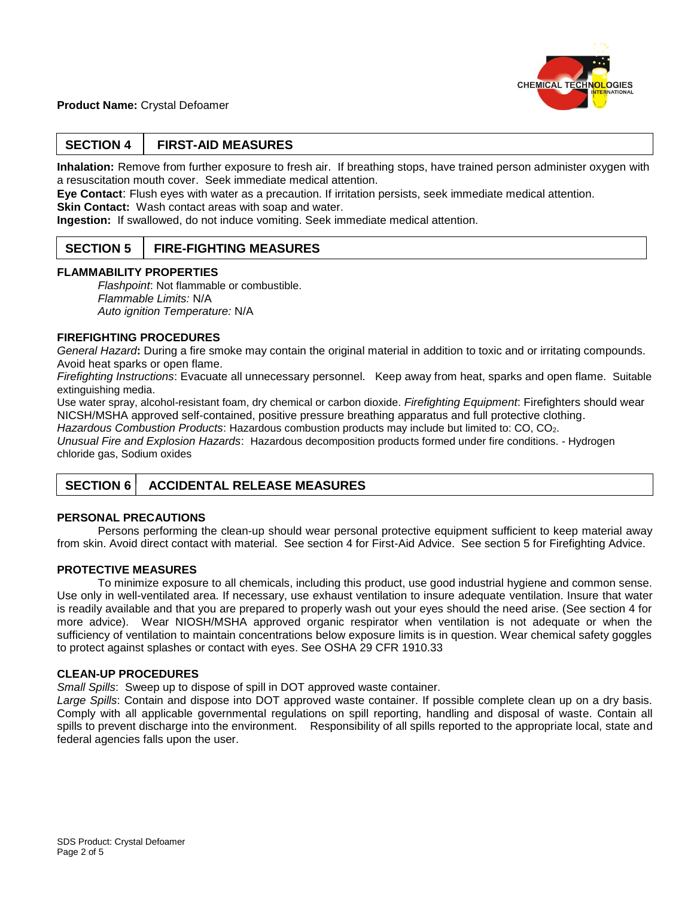

## **Product Name:** Crystal Defoamer

# **SECTION 4 FIRST-AID MEASURES**

**Inhalation:** Remove from further exposure to fresh air. If breathing stops, have trained person administer oxygen with a resuscitation mouth cover. Seek immediate medical attention.

**Eye Contact**: Flush eyes with water as a precaution. If irritation persists, seek immediate medical attention. **Skin Contact: Wash contact areas with soap and water.** 

**Ingestion:** If swallowed, do not induce vomiting. Seek immediate medical attention.

## **SECTION 5 FIRE-FIGHTING MEASURES**

#### **FLAMMABILITY PROPERTIES**

*Flashpoint*: Not flammable or combustible. *Flammable Limits:* N/A *Auto ignition Temperature:* N/A

#### **FIREFIGHTING PROCEDURES**

*General Hazard***:** During a fire smoke may contain the original material in addition to toxic and or irritating compounds. Avoid heat sparks or open flame.

*Firefighting Instructions*: Evacuate all unnecessary personnel. Keep away from heat, sparks and open flame. Suitable extinguishing media.

Use water spray, alcohol-resistant foam, dry chemical or carbon dioxide. *Firefighting Equipment*: Firefighters should wear NICSH/MSHA approved self-contained, positive pressure breathing apparatus and full protective clothing.

*Hazardous Combustion Products*: Hazardous combustion products may include but limited to: CO, CO2.

*Unusual Fire and Explosion Hazards*: Hazardous decomposition products formed under fire conditions. - Hydrogen chloride gas, Sodium oxides

# **SECTION 6 ACCIDENTAL RELEASE MEASURES**

## **PERSONAL PRECAUTIONS**

Persons performing the clean-up should wear personal protective equipment sufficient to keep material away from skin. Avoid direct contact with material. See section 4 for First-Aid Advice. See section 5 for Firefighting Advice.

## **PROTECTIVE MEASURES**

To minimize exposure to all chemicals, including this product, use good industrial hygiene and common sense. Use only in well-ventilated area. If necessary, use exhaust ventilation to insure adequate ventilation. Insure that water is readily available and that you are prepared to properly wash out your eyes should the need arise. (See section 4 for more advice). Wear NIOSH/MSHA approved organic respirator when ventilation is not adequate or when the sufficiency of ventilation to maintain concentrations below exposure limits is in question. Wear chemical safety goggles to protect against splashes or contact with eyes. See OSHA 29 CFR 1910.33

#### **CLEAN-UP PROCEDURES**

*Small Spills*: Sweep up to dispose of spill in DOT approved waste container.

*Large Spills*: Contain and dispose into DOT approved waste container. If possible complete clean up on a dry basis. Comply with all applicable governmental regulations on spill reporting, handling and disposal of waste. Contain all spills to prevent discharge into the environment. Responsibility of all spills reported to the appropriate local, state and federal agencies falls upon the user.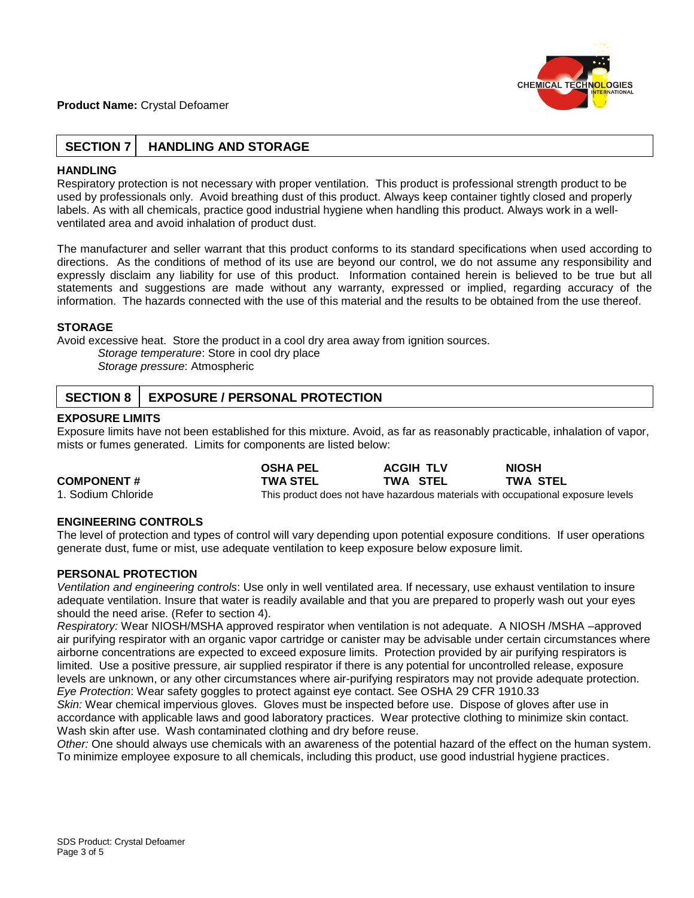## **Product Name:** Crystal Defoamer



# **SECTION 7 HANDLING AND STORAGE**

## **HANDLING**

Respiratory protection is not necessary with proper ventilation. This product is professional strength product to be used by professionals only. Avoid breathing dust of this product. Always keep container tightly closed and properly labels. As with all chemicals, practice good industrial hygiene when handling this product. Always work in a wellventilated area and avoid inhalation of product dust.

The manufacturer and seller warrant that this product conforms to its standard specifications when used according to directions. As the conditions of method of its use are beyond our control, we do not assume any responsibility and expressly disclaim any liability for use of this product. Information contained herein is believed to be true but all statements and suggestions are made without any warranty, expressed or implied, regarding accuracy of the information. The hazards connected with the use of this material and the results to be obtained from the use thereof.

## **STORAGE**

Avoid excessive heat. Store the product in a cool dry area away from ignition sources.

*Storage temperature*: Store in cool dry place

*Storage pressure*: Atmospheric

# **SECTION 8 | EXPOSURE / PERSONAL PROTECTION**

## **EXPOSURE LIMITS**

Exposure limits have not been established for this mixture. Avoid, as far as reasonably practicable, inhalation of vapor, mists or fumes generated. Limits for components are listed below:

|                    | <b>OSHA PEL</b> | <b>ACGIH TLV</b>                                                                 | <b>NIOSH</b>    |  |
|--------------------|-----------------|----------------------------------------------------------------------------------|-----------------|--|
| <b>COMPONENT#</b>  | <b>TWA STEL</b> | TWA STEL                                                                         | <b>TWA STEL</b> |  |
| 1. Sodium Chloride |                 | This product does not have hazardous materials with occupational exposure levels |                 |  |

## **ENGINEERING CONTROLS**

The level of protection and types of control will vary depending upon potential exposure conditions. If user operations generate dust, fume or mist, use adequate ventilation to keep exposure below exposure limit.

## **PERSONAL PROTECTION**

*Ventilation and engineering controls*: Use only in well ventilated area. If necessary, use exhaust ventilation to insure adequate ventilation. Insure that water is readily available and that you are prepared to properly wash out your eyes should the need arise. (Refer to section 4).

*Respiratory:* Wear NIOSH/MSHA approved respirator when ventilation is not adequate. A NIOSH /MSHA –approved air purifying respirator with an organic vapor cartridge or canister may be advisable under certain circumstances where airborne concentrations are expected to exceed exposure limits. Protection provided by air purifying respirators is limited. Use a positive pressure, air supplied respirator if there is any potential for uncontrolled release, exposure levels are unknown, or any other circumstances where air-purifying respirators may not provide adequate protection. *Eye Protection*: Wear safety goggles to protect against eye contact. See OSHA 29 CFR 1910.33

*Skin:* Wear chemical impervious gloves. Gloves must be inspected before use. Dispose of gloves after use in accordance with applicable laws and good laboratory practices. Wear protective clothing to minimize skin contact. Wash skin after use. Wash contaminated clothing and dry before reuse.

*Other:* One should always use chemicals with an awareness of the potential hazard of the effect on the human system. To minimize employee exposure to all chemicals, including this product, use good industrial hygiene practices.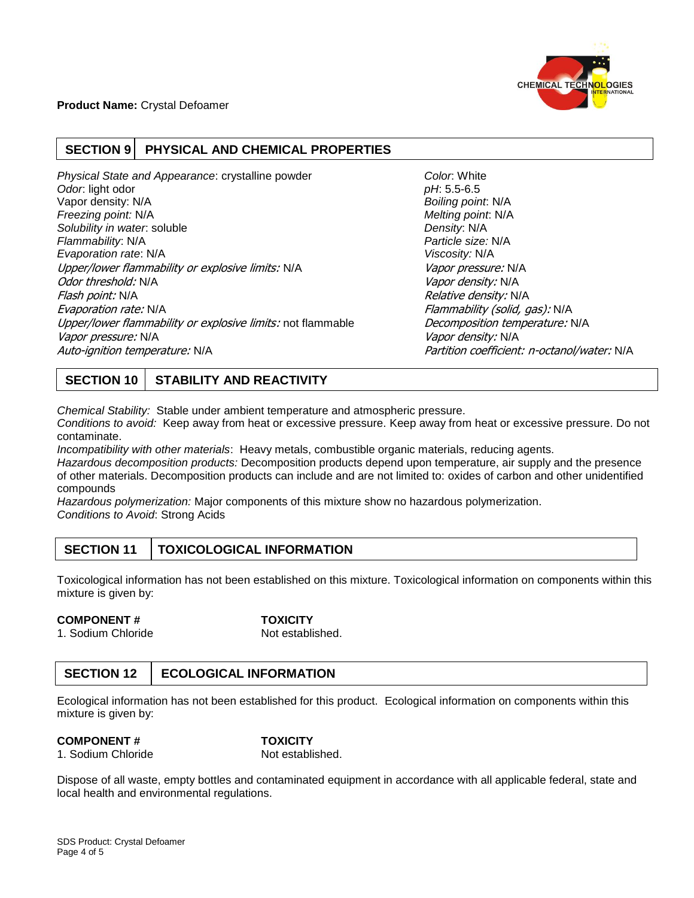

# **SECTION 9 PHYSICAL AND CHEMICAL PROPERTIES**

**Physical State and Appearance: crystalline powder** *Color:* **White** *Odor*: light odor *pH*: 5.5-6.5 Vapor density: N/A *Boiling point*: N/A *Freezing point:* N/A *Melting point*: N/A *Solubility in water*: soluble *Density*: N/A *Flammability*: N/A *Particle size:* N/A *Evaporation rate*: N/A *Viscosity:* N/A Upper/lower flammability or explosive limits: N/A Vapor pressure: N/A Odor threshold: N/A variable compared to the compared of the compared of the Vapor density: N/A Flash point: N/A **Relative density: N/A** Relative density: N/A Evaporation rate: N/A Flammability (solid, gas): N/A Upper/lower flammability or explosive limits: not flammable Decomposition temperature: N/A Vapor pressure: N/A Vapor density: N/A Vapor density: N/A Auto-ignition temperature: N/A Partition coefficient: n-octanol/water: N/A

# **SECTION 10 STABILITY AND REACTIVITY**

*Chemical Stability:* Stable under ambient temperature and atmospheric pressure.

*Conditions to avoid:* Keep away from heat or excessive pressure. Keep away from heat or excessive pressure. Do not contaminate.

*Incompatibility with other materials*: Heavy metals, combustible organic materials, reducing agents.

*Hazardous decomposition products:* Decomposition products depend upon temperature, air supply and the presence of other materials. Decomposition products can include and are not limited to: oxides of carbon and other unidentified compounds

*Hazardous polymerization:* Major components of this mixture show no hazardous polymerization. *Conditions to Avoid*: Strong Acids

# **SECTION 11 TOXICOLOGICAL INFORMATION**

Toxicological information has not been established on this mixture. Toxicological information on components within this mixture is given by:

# **COMPONENT # TOXICITY**

1. Sodium Chloride Not established.

# **SECTION 12 ECOLOGICAL INFORMATION**

Ecological information has not been established for this product. Ecological information on components within this mixture is given by:

## **COMPONENT # TOXICITY**

1. Sodium Chloride Not established.

Dispose of all waste, empty bottles and contaminated equipment in accordance with all applicable federal, state and local health and environmental regulations.